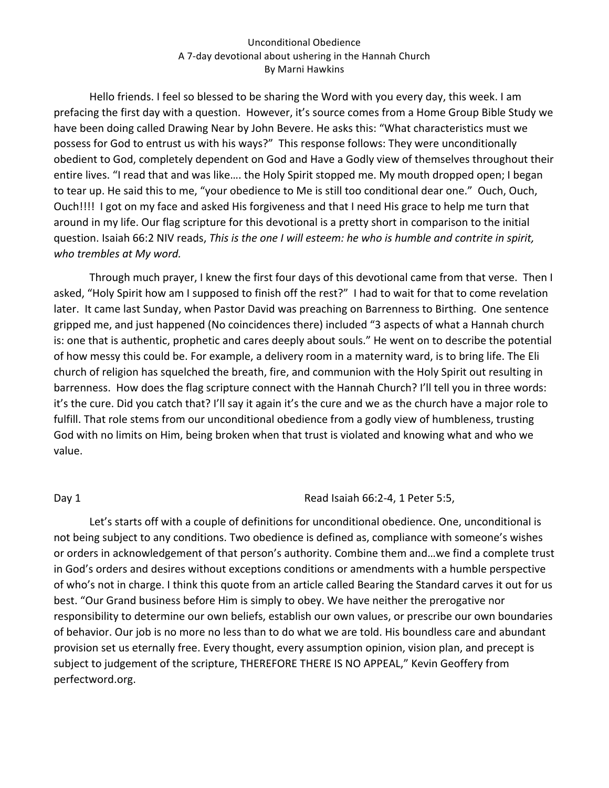Hello friends. I feel so blessed to be sharing the Word with you every day, this week. I am prefacing the first day with a question. However, it's source comes from a Home Group Bible Study we have been doing called Drawing Near by John Bevere. He asks this: "What characteristics must we possess for God to entrust us with his ways?" This response follows: They were unconditionally obedient to God, completely dependent on God and Have a Godly view of themselves throughout their entire lives. "I read that and was like.... the Holy Spirit stopped me. My mouth dropped open; I began to tear up. He said this to me, "your obedience to Me is still too conditional dear one." Ouch, Ouch, Ouch!!!! I got on my face and asked His forgiveness and that I need His grace to help me turn that around in my life. Our flag scripture for this devotional is a pretty short in comparison to the initial question. Isaiah 66:2 NIV reads, *This is the one I will esteem: he who is humble and contrite in spirit, who trembles at My word.*

Through much prayer, I knew the first four days of this devotional came from that verse. Then I asked, "Holy Spirit how am I supposed to finish off the rest?" I had to wait for that to come revelation later. It came last Sunday, when Pastor David was preaching on Barrenness to Birthing. One sentence gripped me, and just happened (No coincidences there) included "3 aspects of what a Hannah church is: one that is authentic, prophetic and cares deeply about souls." He went on to describe the potential of how messy this could be. For example, a delivery room in a maternity ward, is to bring life. The Eli church of religion has squelched the breath, fire, and communion with the Holy Spirit out resulting in barrenness. How does the flag scripture connect with the Hannah Church? I'll tell you in three words: it's the cure. Did you catch that? I'll say it again it's the cure and we as the church have a major role to fulfill. That role stems from our unconditional obedience from a godly view of humbleness, trusting God with no limits on Him, being broken when that trust is violated and knowing what and who we value.

### Day 1 **Day 1 Day 1 Read Isaiah 66:2-4, 1 Peter 5:5,**

Let's starts off with a couple of definitions for unconditional obedience. One, unconditional is not being subject to any conditions. Two obedience is defined as, compliance with someone's wishes or orders in acknowledgement of that person's authority. Combine them and...we find a complete trust in God's orders and desires without exceptions conditions or amendments with a humble perspective of who's not in charge. I think this quote from an article called Bearing the Standard carves it out for us best. "Our Grand business before Him is simply to obey. We have neither the prerogative nor responsibility to determine our own beliefs, establish our own values, or prescribe our own boundaries of behavior. Our job is no more no less than to do what we are told. His boundless care and abundant provision set us eternally free. Every thought, every assumption opinion, vision plan, and precept is subject to judgement of the scripture, THEREFORE THERE IS NO APPEAL," Kevin Geoffery from perfectword.org.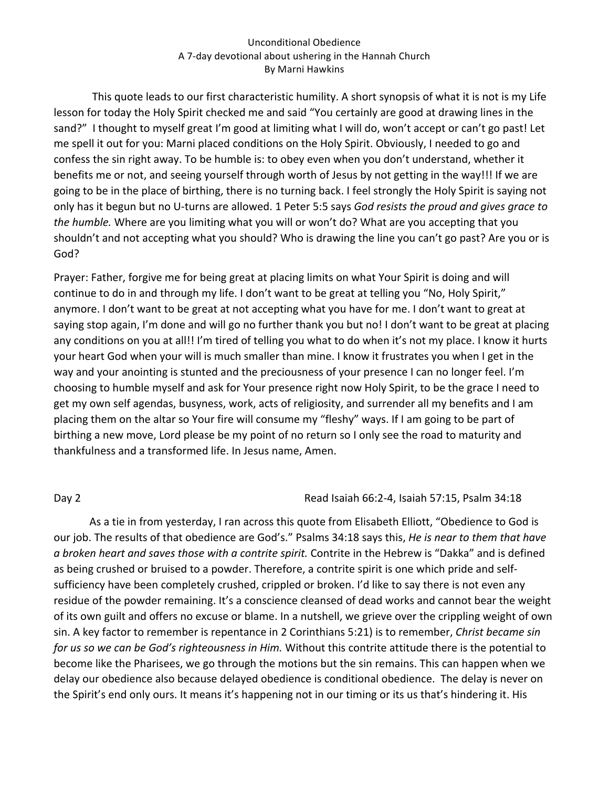This quote leads to our first characteristic humility. A short synopsis of what it is not is my Life lesson for today the Holy Spirit checked me and said "You certainly are good at drawing lines in the sand?" I thought to myself great I'm good at limiting what I will do, won't accept or can't go past! Let me spell it out for you: Marni placed conditions on the Holy Spirit. Obviously, I needed to go and confess the sin right away. To be humble is: to obey even when you don't understand, whether it benefits me or not, and seeing yourself through worth of Jesus by not getting in the way!!! If we are going to be in the place of birthing, there is no turning back. I feel strongly the Holy Spirit is saying not only has it begun but no U-turns are allowed. 1 Peter 5:5 says *God resists the proud and gives grace to the humble.* Where are you limiting what you will or won't do? What are you accepting that you shouldn't and not accepting what you should? Who is drawing the line you can't go past? Are you or is God?

Prayer: Father, forgive me for being great at placing limits on what Your Spirit is doing and will continue to do in and through my life. I don't want to be great at telling you "No, Holy Spirit," anymore. I don't want to be great at not accepting what you have for me. I don't want to great at saying stop again, I'm done and will go no further thank you but no! I don't want to be great at placing any conditions on you at all!! I'm tired of telling you what to do when it's not my place. I know it hurts your heart God when your will is much smaller than mine. I know it frustrates you when I get in the way and your anointing is stunted and the preciousness of your presence I can no longer feel. I'm choosing to humble myself and ask for Your presence right now Holy Spirit, to be the grace I need to get my own self agendas, busyness, work, acts of religiosity, and surrender all my benefits and I am placing them on the altar so Your fire will consume my "fleshy" ways. If I am going to be part of birthing a new move, Lord please be my point of no return so I only see the road to maturity and thankfulness and a transformed life. In Jesus name, Amen.

### Day 2 **Day 2** Read Isaiah 66:2-4, Isaiah 57:15, Psalm 34:18

As a tie in from yesterday, I ran across this quote from Elisabeth Elliott, "Obedience to God is our job. The results of that obedience are God's." Psalms 34:18 says this, *He is near to them that have a* broken heart and saves those with a contrite spirit. Contrite in the Hebrew is "Dakka" and is defined as being crushed or bruised to a powder. Therefore, a contrite spirit is one which pride and selfsufficiency have been completely crushed, crippled or broken. I'd like to say there is not even any residue of the powder remaining. It's a conscience cleansed of dead works and cannot bear the weight of its own guilt and offers no excuse or blame. In a nutshell, we grieve over the crippling weight of own sin. A key factor to remember is repentance in 2 Corinthians 5:21) is to remember, *Christ became sin for us so we can be God's righteousness in Him.* Without this contrite attitude there is the potential to become like the Pharisees, we go through the motions but the sin remains. This can happen when we delay our obedience also because delayed obedience is conditional obedience. The delay is never on the Spirit's end only ours. It means it's happening not in our timing or its us that's hindering it. His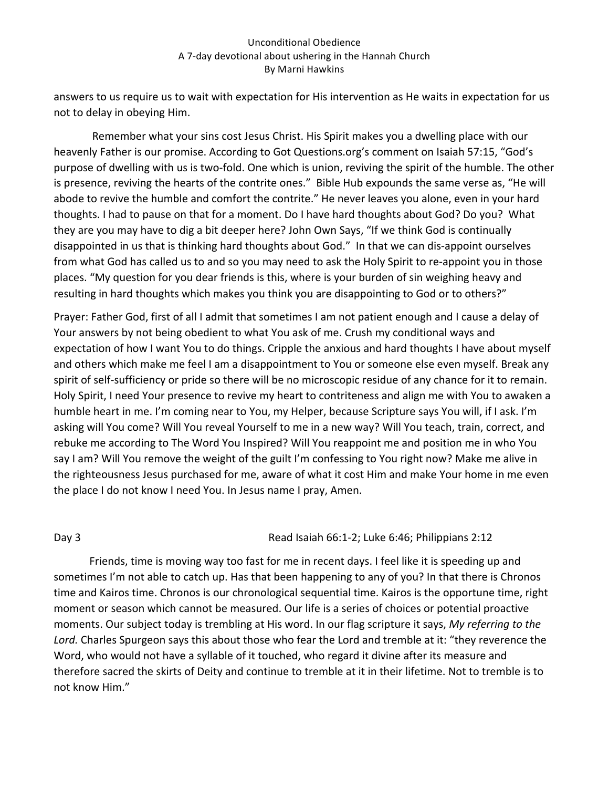answers to us require us to wait with expectation for His intervention as He waits in expectation for us not to delay in obeying Him.

Remember what your sins cost Jesus Christ. His Spirit makes you a dwelling place with our heavenly Father is our promise. According to Got Questions.org's comment on Isaiah 57:15, "God's purpose of dwelling with us is two-fold. One which is union, reviving the spirit of the humble. The other is presence, reviving the hearts of the contrite ones." Bible Hub expounds the same verse as, "He will abode to revive the humble and comfort the contrite." He never leaves you alone, even in your hard thoughts. I had to pause on that for a moment. Do I have hard thoughts about God? Do you? What they are you may have to dig a bit deeper here? John Own Says, "If we think God is continually disappointed in us that is thinking hard thoughts about God." In that we can dis-appoint ourselves from what God has called us to and so you may need to ask the Holy Spirit to re-appoint you in those places. "My question for you dear friends is this, where is your burden of sin weighing heavy and resulting in hard thoughts which makes you think you are disappointing to God or to others?"

Prayer: Father God, first of all I admit that sometimes I am not patient enough and I cause a delay of Your answers by not being obedient to what You ask of me. Crush my conditional ways and expectation of how I want You to do things. Cripple the anxious and hard thoughts I have about myself and others which make me feel I am a disappointment to You or someone else even myself. Break any spirit of self-sufficiency or pride so there will be no microscopic residue of any chance for it to remain. Holy Spirit, I need Your presence to revive my heart to contriteness and align me with You to awaken a humble heart in me. I'm coming near to You, my Helper, because Scripture says You will, if I ask. I'm asking will You come? Will You reveal Yourself to me in a new way? Will You teach, train, correct, and rebuke me according to The Word You Inspired? Will You reappoint me and position me in who You say I am? Will You remove the weight of the guilt I'm confessing to You right now? Make me alive in the righteousness Jesus purchased for me, aware of what it cost Him and make Your home in me even the place I do not know I need You. In Jesus name I pray, Amen.

Day 3 **Day 3** Read Isaiah 66:1-2; Luke 6:46; Philippians 2:12

Friends, time is moving way too fast for me in recent days. I feel like it is speeding up and sometimes I'm not able to catch up. Has that been happening to any of you? In that there is Chronos time and Kairos time. Chronos is our chronological sequential time. Kairos is the opportune time, right moment or season which cannot be measured. Our life is a series of choices or potential proactive moments. Our subject today is trembling at His word. In our flag scripture it says, My referring to the Lord. Charles Spurgeon says this about those who fear the Lord and tremble at it: "they reverence the Word, who would not have a syllable of it touched, who regard it divine after its measure and therefore sacred the skirts of Deity and continue to tremble at it in their lifetime. Not to tremble is to not know Him."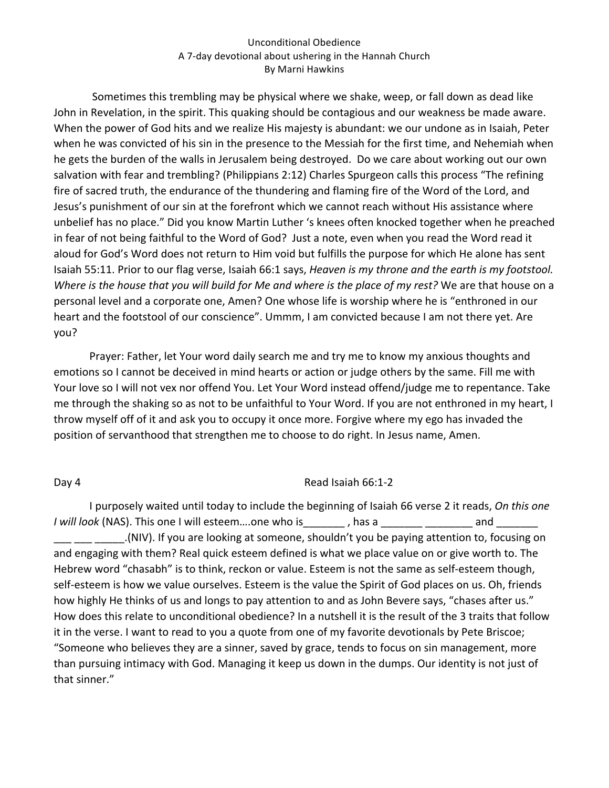Sometimes this trembling may be physical where we shake, weep, or fall down as dead like John in Revelation, in the spirit. This quaking should be contagious and our weakness be made aware. When the power of God hits and we realize His majesty is abundant: we our undone as in Isaiah, Peter when he was convicted of his sin in the presence to the Messiah for the first time, and Nehemiah when he gets the burden of the walls in Jerusalem being destroyed. Do we care about working out our own salvation with fear and trembling? (Philippians 2:12) Charles Spurgeon calls this process "The refining fire of sacred truth, the endurance of the thundering and flaming fire of the Word of the Lord, and Jesus's punishment of our sin at the forefront which we cannot reach without His assistance where unbelief has no place." Did you know Martin Luther 's knees often knocked together when he preached in fear of not being faithful to the Word of God? Just a note, even when you read the Word read it aloud for God's Word does not return to Him void but fulfills the purpose for which He alone has sent Isaiah 55:11. Prior to our flag verse, Isaiah 66:1 says, *Heaven is my throne and the earth is my footstool*. *Where is the house that you will build for Me and where is the place of my rest?* We are that house on a personal level and a corporate one, Amen? One whose life is worship where he is "enthroned in our heart and the footstool of our conscience". Ummm, I am convicted because I am not there yet. Are you?

Prayer: Father, let Your word daily search me and try me to know my anxious thoughts and emotions so I cannot be deceived in mind hearts or action or judge others by the same. Fill me with Your love so I will not vex nor offend You. Let Your Word instead offend/judge me to repentance. Take me through the shaking so as not to be unfaithful to Your Word. If you are not enthroned in my heart, I throw myself off of it and ask you to occupy it once more. Forgive where my ego has invaded the position of servanthood that strengthen me to choose to do right. In Jesus name, Amen.

# Day 4 Read Isaiah 66:1-2

I purposely waited until today to include the beginning of Isaiah 66 verse 2 it reads, On this one *I* will look (NAS). This one I will esteem....one who is\_\_\_\_\_\_\_, has a \_\_\_\_\_\_\_\_\_\_\_\_\_\_\_\_\_\_\_\_\_\_\_\_ and \_\_\_\_\_\_\_\_\_ .(NIV). If you are looking at someone, shouldn't you be paying attention to, focusing on and engaging with them? Real quick esteem defined is what we place value on or give worth to. The Hebrew word "chasabh" is to think, reckon or value. Esteem is not the same as self-esteem though, self-esteem is how we value ourselves. Esteem is the value the Spirit of God places on us. Oh, friends how highly He thinks of us and longs to pay attention to and as John Bevere says, "chases after us." How does this relate to unconditional obedience? In a nutshell it is the result of the 3 traits that follow it in the verse. I want to read to you a quote from one of my favorite devotionals by Pete Briscoe; "Someone who believes they are a sinner, saved by grace, tends to focus on sin management, more than pursuing intimacy with God. Managing it keep us down in the dumps. Our identity is not just of that sinner."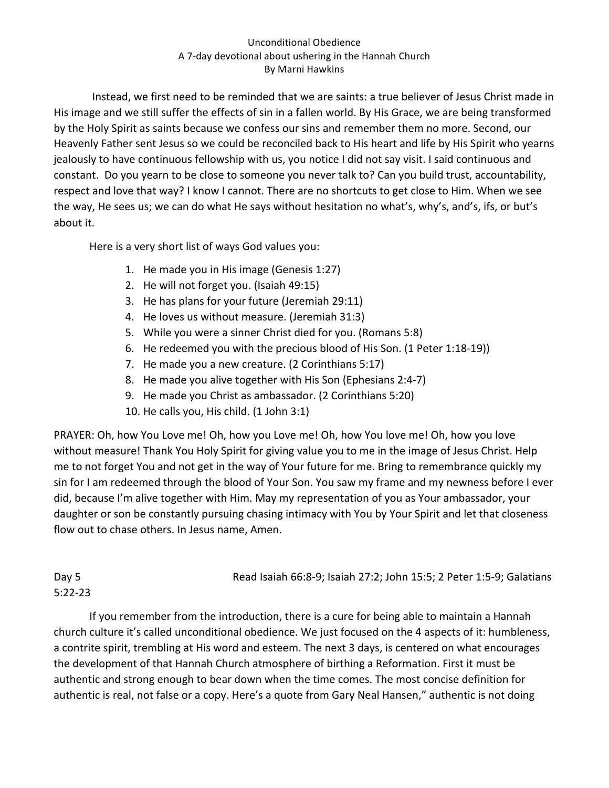Instead, we first need to be reminded that we are saints: a true believer of Jesus Christ made in His image and we still suffer the effects of sin in a fallen world. By His Grace, we are being transformed by the Holy Spirit as saints because we confess our sins and remember them no more. Second, our Heavenly Father sent Jesus so we could be reconciled back to His heart and life by His Spirit who yearns jealously to have continuous fellowship with us, you notice I did not say visit. I said continuous and constant. Do you yearn to be close to someone you never talk to? Can you build trust, accountability, respect and love that way? I know I cannot. There are no shortcuts to get close to Him. When we see the way, He sees us; we can do what He says without hesitation no what's, why's, and's, ifs, or but's about it.

Here is a very short list of ways God values you:

- 1. He made you in His image (Genesis 1:27)
- 2. He will not forget you. (Isaiah 49:15)
- 3. He has plans for your future (Jeremiah 29:11)
- 4. He loves us without measure. (Jeremiah 31:3)
- 5. While you were a sinner Christ died for you. (Romans 5:8)
- 6. He redeemed you with the precious blood of His Son. (1 Peter 1:18-19))
- 7. He made you a new creature. (2 Corinthians 5:17)
- 8. He made you alive together with His Son (Ephesians 2:4-7)
- 9. He made you Christ as ambassador. (2 Corinthians 5:20)
- 10. He calls you, His child.  $(1$  John  $3:1)$

PRAYER: Oh, how You Love me! Oh, how you Love me! Oh, how You love me! Oh, how you love without measure! Thank You Holy Spirit for giving value you to me in the image of Jesus Christ. Help me to not forget You and not get in the way of Your future for me. Bring to remembrance quickly my sin for I am redeemed through the blood of Your Son. You saw my frame and my newness before I ever did, because I'm alive together with Him. May my representation of you as Your ambassador, your daughter or son be constantly pursuing chasing intimacy with You by Your Spirit and let that closeness flow out to chase others. In Jesus name, Amen.

Day 5 **Read Isaiah 66:8-9;** Isaiah 27:2; John 15:5; 2 Peter 1:5-9; Galatians 5:22-23

If you remember from the introduction, there is a cure for being able to maintain a Hannah church culture it's called unconditional obedience. We just focused on the 4 aspects of it: humbleness, a contrite spirit, trembling at His word and esteem. The next 3 days, is centered on what encourages the development of that Hannah Church atmosphere of birthing a Reformation. First it must be authentic and strong enough to bear down when the time comes. The most concise definition for authentic is real, not false or a copy. Here's a quote from Gary Neal Hansen," authentic is not doing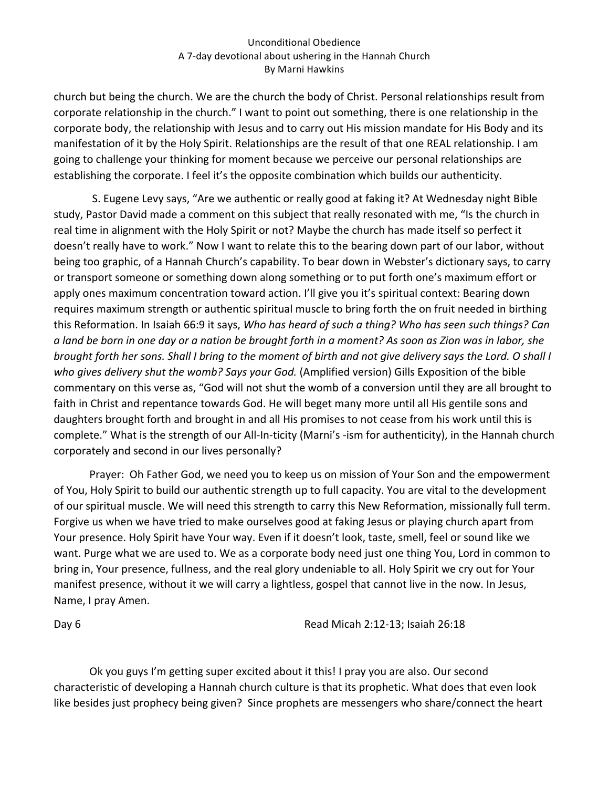church but being the church. We are the church the body of Christ. Personal relationships result from corporate relationship in the church." I want to point out something, there is one relationship in the corporate body, the relationship with Jesus and to carry out His mission mandate for His Body and its manifestation of it by the Holy Spirit. Relationships are the result of that one REAL relationship. I am going to challenge your thinking for moment because we perceive our personal relationships are establishing the corporate. I feel it's the opposite combination which builds our authenticity.

S. Eugene Levy says, "Are we authentic or really good at faking it? At Wednesday night Bible study, Pastor David made a comment on this subject that really resonated with me, "Is the church in real time in alignment with the Holy Spirit or not? Maybe the church has made itself so perfect it doesn't really have to work." Now I want to relate this to the bearing down part of our labor, without being too graphic, of a Hannah Church's capability. To bear down in Webster's dictionary says, to carry or transport someone or something down along something or to put forth one's maximum effort or apply ones maximum concentration toward action. I'll give you it's spiritual context: Bearing down requires maximum strength or authentic spiritual muscle to bring forth the on fruit needed in birthing this Reformation. In Isaiah 66:9 it says, *Who has heard of such a thing? Who has seen such things? Can a* land be born in one day or a nation be brought forth in a moment? As soon as Zion was in labor, she *brought forth her sons. Shall I bring to the moment of birth and not give delivery says the Lord. O shall I* who gives delivery shut the womb? Says your God. (Amplified version) Gills Exposition of the bible commentary on this verse as, "God will not shut the womb of a conversion until they are all brought to faith in Christ and repentance towards God. He will beget many more until all His gentile sons and daughters brought forth and brought in and all His promises to not cease from his work until this is complete." What is the strength of our All-In-ticity (Marni's -ism for authenticity), in the Hannah church corporately and second in our lives personally?

Prayer: Oh Father God, we need you to keep us on mission of Your Son and the empowerment of You, Holy Spirit to build our authentic strength up to full capacity. You are vital to the development of our spiritual muscle. We will need this strength to carry this New Reformation, missionally full term. Forgive us when we have tried to make ourselves good at faking Jesus or playing church apart from Your presence. Holy Spirit have Your way. Even if it doesn't look, taste, smell, feel or sound like we want. Purge what we are used to. We as a corporate body need just one thing You, Lord in common to bring in, Your presence, fullness, and the real glory undeniable to all. Holy Spirit we cry out for Your manifest presence, without it we will carry a lightless, gospel that cannot live in the now. In Jesus, Name, I pray Amen.

Day 6 **Day 6** Read Micah 2:12-13; Isaiah 26:18

Ok you guys I'm getting super excited about it this! I pray you are also. Our second characteristic of developing a Hannah church culture is that its prophetic. What does that even look like besides just prophecy being given? Since prophets are messengers who share/connect the heart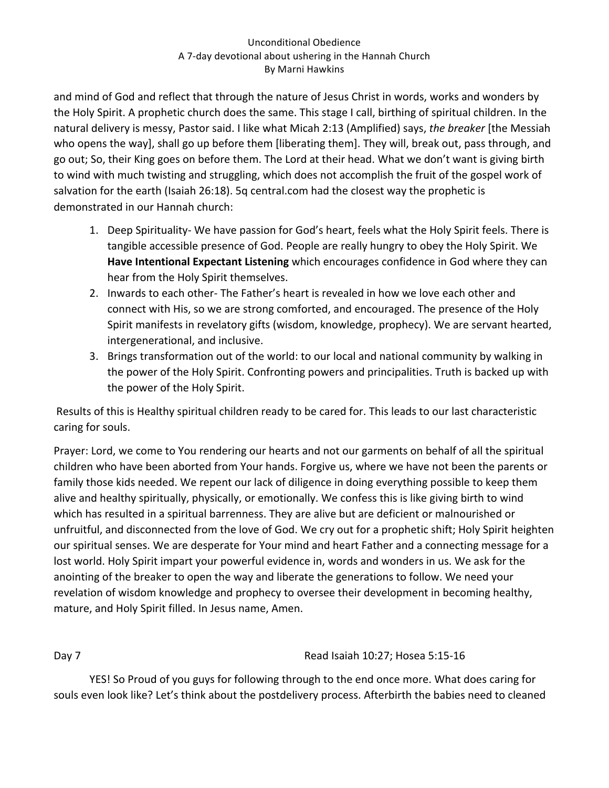and mind of God and reflect that through the nature of Jesus Christ in words, works and wonders by the Holy Spirit. A prophetic church does the same. This stage I call, birthing of spiritual children. In the natural delivery is messy, Pastor said. I like what Micah 2:13 (Amplified) says, *the breaker* [the Messiah who opens the way], shall go up before them [liberating them]. They will, break out, pass through, and go out; So, their King goes on before them. The Lord at their head. What we don't want is giving birth to wind with much twisting and struggling, which does not accomplish the fruit of the gospel work of salvation for the earth (Isaiah 26:18). 5q central.com had the closest way the prophetic is demonstrated in our Hannah church:

- 1. Deep Spirituality- We have passion for God's heart, feels what the Holy Spirit feels. There is tangible accessible presence of God. People are really hungry to obey the Holy Spirit. We Have Intentional Expectant Listening which encourages confidence in God where they can hear from the Holy Spirit themselves.
- 2. Inwards to each other- The Father's heart is revealed in how we love each other and connect with His, so we are strong comforted, and encouraged. The presence of the Holy Spirit manifests in revelatory gifts (wisdom, knowledge, prophecy). We are servant hearted, intergenerational, and inclusive.
- 3. Brings transformation out of the world: to our local and national community by walking in the power of the Holy Spirit. Confronting powers and principalities. Truth is backed up with the power of the Holy Spirit.

Results of this is Healthy spiritual children ready to be cared for. This leads to our last characteristic caring for souls.

Prayer: Lord, we come to You rendering our hearts and not our garments on behalf of all the spiritual children who have been aborted from Your hands. Forgive us, where we have not been the parents or family those kids needed. We repent our lack of diligence in doing everything possible to keep them alive and healthy spiritually, physically, or emotionally. We confess this is like giving birth to wind which has resulted in a spiritual barrenness. They are alive but are deficient or malnourished or unfruitful, and disconnected from the love of God. We cry out for a prophetic shift; Holy Spirit heighten our spiritual senses. We are desperate for Your mind and heart Father and a connecting message for a lost world. Holy Spirit impart your powerful evidence in, words and wonders in us. We ask for the anointing of the breaker to open the way and liberate the generations to follow. We need your revelation of wisdom knowledge and prophecy to oversee their development in becoming healthy, mature, and Holy Spirit filled. In Jesus name, Amen.

# Day 7 Cases and Contract Contract Contract Contract Read Isaiah 10:27; Hosea 5:15-16

YES! So Proud of you guys for following through to the end once more. What does caring for souls even look like? Let's think about the postdelivery process. Afterbirth the babies need to cleaned